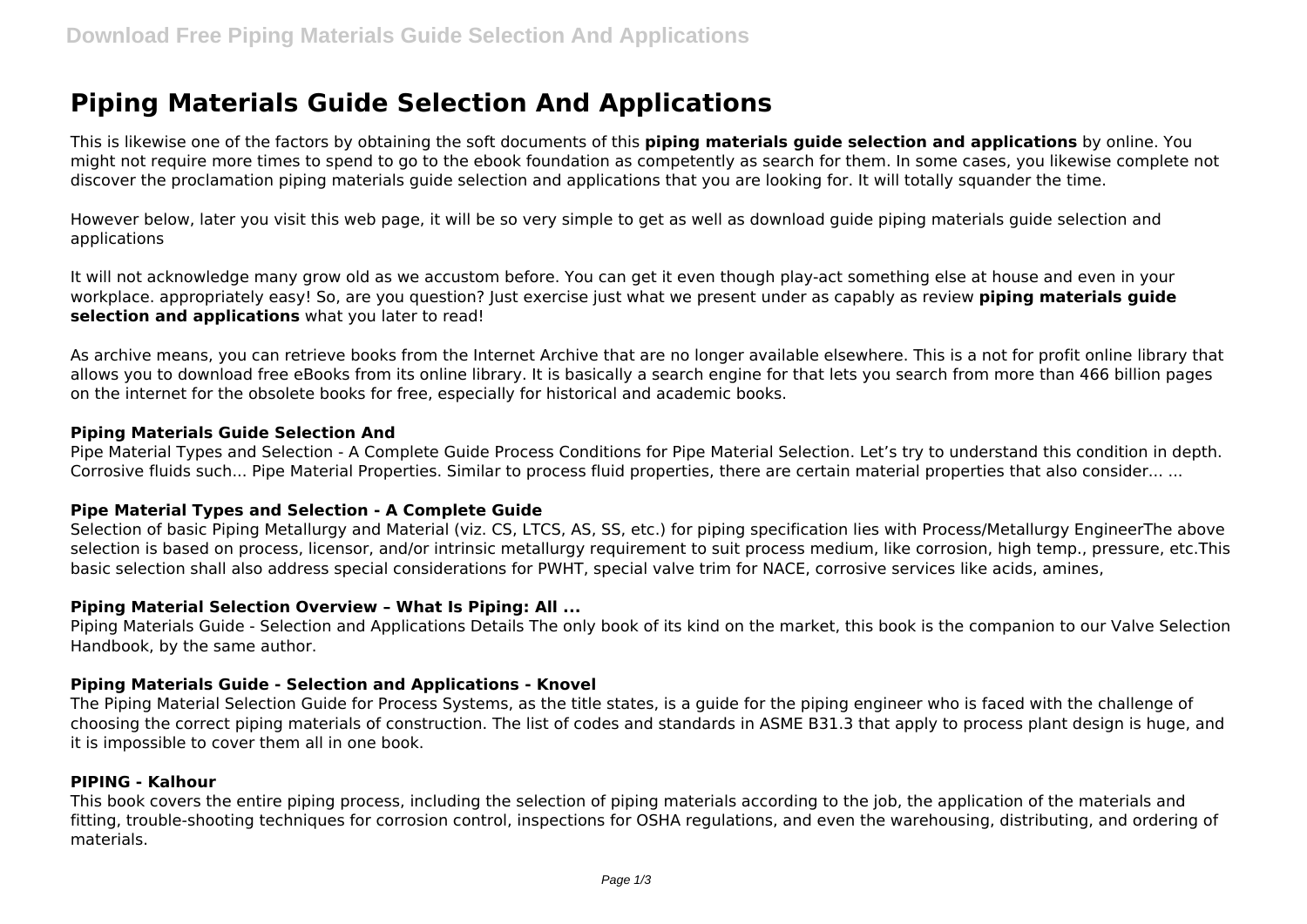# **Piping Materials Guide Selection And Applications**

This is likewise one of the factors by obtaining the soft documents of this **piping materials guide selection and applications** by online. You might not require more times to spend to go to the ebook foundation as competently as search for them. In some cases, you likewise complete not discover the proclamation piping materials guide selection and applications that you are looking for. It will totally squander the time.

However below, later you visit this web page, it will be so very simple to get as well as download guide piping materials guide selection and applications

It will not acknowledge many grow old as we accustom before. You can get it even though play-act something else at house and even in your workplace. appropriately easy! So, are you question? Just exercise just what we present under as capably as review **piping materials guide selection and applications** what you later to read!

As archive means, you can retrieve books from the Internet Archive that are no longer available elsewhere. This is a not for profit online library that allows you to download free eBooks from its online library. It is basically a search engine for that lets you search from more than 466 billion pages on the internet for the obsolete books for free, especially for historical and academic books.

#### **Piping Materials Guide Selection And**

Pipe Material Types and Selection - A Complete Guide Process Conditions for Pipe Material Selection. Let's try to understand this condition in depth. Corrosive fluids such... Pipe Material Properties. Similar to process fluid properties, there are certain material properties that also consider... ...

#### **Pipe Material Types and Selection - A Complete Guide**

Selection of basic Piping Metallurgy and Material (viz. CS, LTCS, AS, SS, etc.) for piping specification lies with Process/Metallurgy EngineerThe above selection is based on process, licensor, and/or intrinsic metallurgy requirement to suit process medium, like corrosion, high temp., pressure, etc.This basic selection shall also address special considerations for PWHT, special valve trim for NACE, corrosive services like acids, amines,

#### **Piping Material Selection Overview – What Is Piping: All ...**

Piping Materials Guide - Selection and Applications Details The only book of its kind on the market, this book is the companion to our Valve Selection Handbook, by the same author.

#### **Piping Materials Guide - Selection and Applications - Knovel**

The Piping Material Selection Guide for Process Systems, as the title states, is a guide for the piping engineer who is faced with the challenge of choosing the correct piping materials of construction. The list of codes and standards in ASME B31.3 that apply to process plant design is huge, and it is impossible to cover them all in one book.

#### **PIPING - Kalhour**

This book covers the entire piping process, including the selection of piping materials according to the job, the application of the materials and fitting, trouble-shooting techniques for corrosion control, inspections for OSHA regulations, and even the warehousing, distributing, and ordering of materials.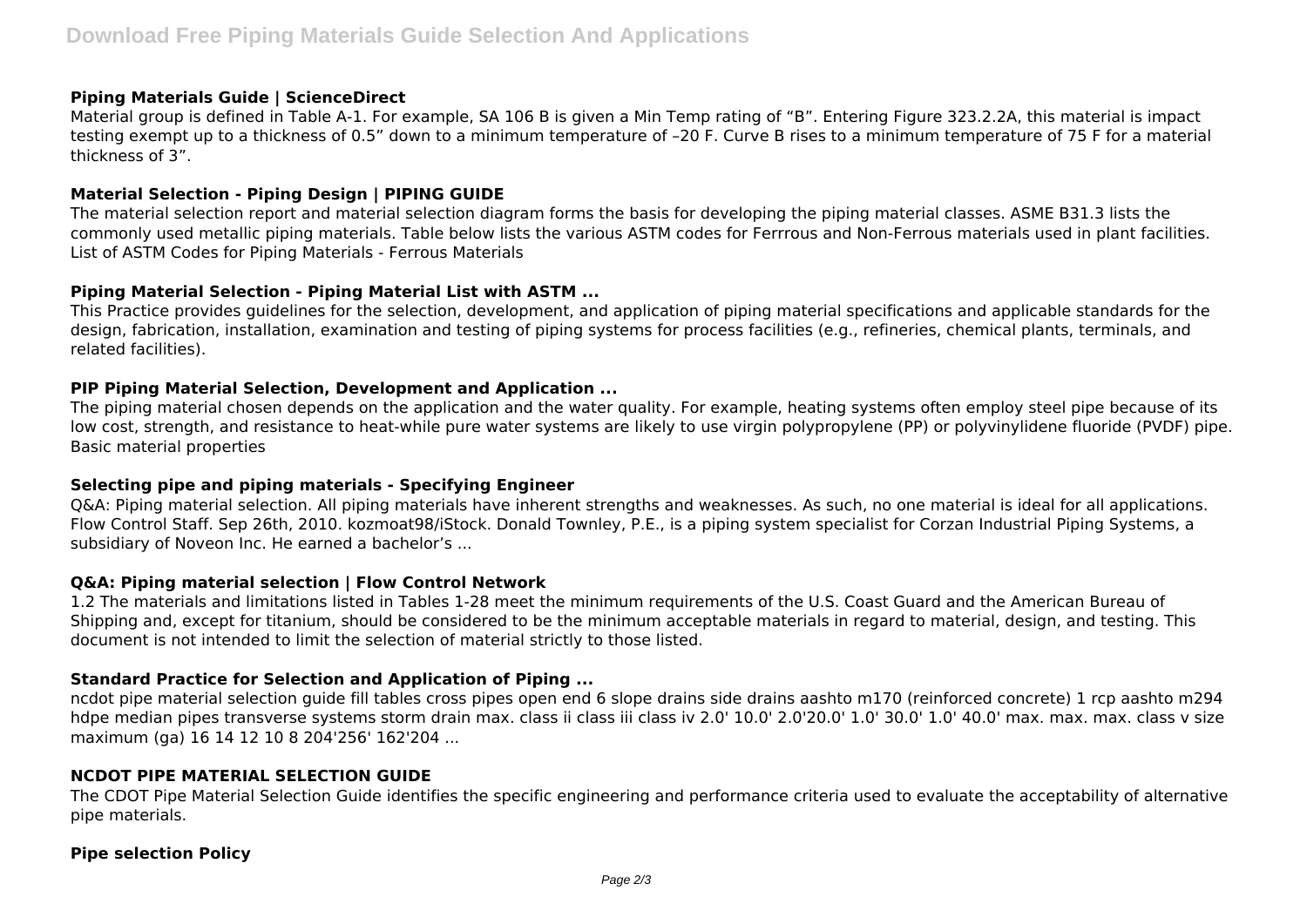## **Piping Materials Guide | ScienceDirect**

Material group is defined in Table A-1. For example, SA 106 B is given a Min Temp rating of "B". Entering Figure 323.2.2A, this material is impact testing exempt up to a thickness of 0.5" down to a minimum temperature of –20 F. Curve B rises to a minimum temperature of 75 F for a material thickness of 3".

## **Material Selection - Piping Design | PIPING GUIDE**

The material selection report and material selection diagram forms the basis for developing the piping material classes. ASME B31.3 lists the commonly used metallic piping materials. Table below lists the various ASTM codes for Ferrrous and Non-Ferrous materials used in plant facilities. List of ASTM Codes for Piping Materials - Ferrous Materials

## **Piping Material Selection - Piping Material List with ASTM ...**

This Practice provides guidelines for the selection, development, and application of piping material specifications and applicable standards for the design, fabrication, installation, examination and testing of piping systems for process facilities (e.g., refineries, chemical plants, terminals, and related facilities).

## **PIP Piping Material Selection, Development and Application ...**

The piping material chosen depends on the application and the water quality. For example, heating systems often employ steel pipe because of its low cost, strength, and resistance to heat-while pure water systems are likely to use virgin polypropylene (PP) or polyvinylidene fluoride (PVDF) pipe. Basic material properties

#### **Selecting pipe and piping materials - Specifying Engineer**

Q&A: Piping material selection. All piping materials have inherent strengths and weaknesses. As such, no one material is ideal for all applications. Flow Control Staff. Sep 26th, 2010. kozmoat98/iStock. Donald Townley, P.E., is a piping system specialist for Corzan Industrial Piping Systems, a subsidiary of Noveon Inc. He earned a bachelor's ...

## **Q&A: Piping material selection | Flow Control Network**

1.2 The materials and limitations listed in Tables 1-28 meet the minimum requirements of the U.S. Coast Guard and the American Bureau of Shipping and, except for titanium, should be considered to be the minimum acceptable materials in regard to material, design, and testing. This document is not intended to limit the selection of material strictly to those listed.

## **Standard Practice for Selection and Application of Piping ...**

ncdot pipe material selection guide fill tables cross pipes open end 6 slope drains side drains aashto m170 (reinforced concrete) 1 rcp aashto m294 hdpe median pipes transverse systems storm drain max. class ii class iii class iv 2.0' 10.0' 2.0'20.0' 1.0' 30.0' 1.0' 40.0' max. max. max. class v size maximum (ga) 16 14 12 10 8 204'256' 162'204 ...

#### **NCDOT PIPE MATERIAL SELECTION GUIDE**

The CDOT Pipe Material Selection Guide identifies the specific engineering and performance criteria used to evaluate the acceptability of alternative pipe materials.

#### **Pipe selection Policy**